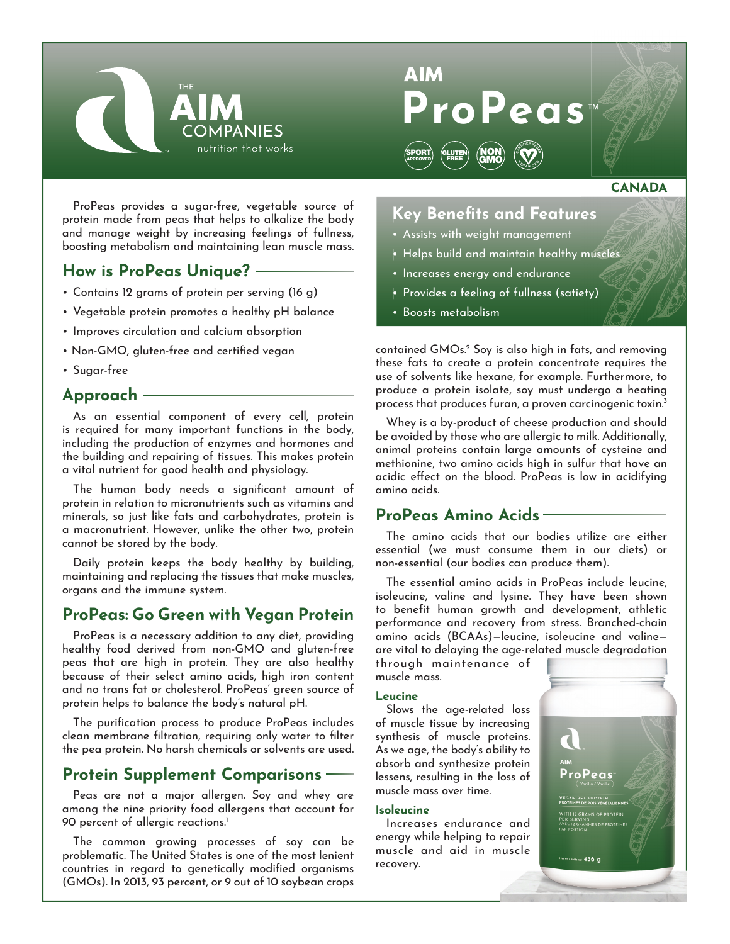



# **CANADA**<br>
res<br>
muscles<br>
ety)

ProPeas provides a sugar-free, vegetable source of protein made from peas that helps to alkalize the body and manage weight by increasing feelings of fullness, boosting metabolism and maintaining lean muscle mass.

# **How is ProPeas Unique?**

- Contains 12 grams of protein per serving (16 g)
- Vegetable protein promotes a healthy pH balance
- Improves circulation and calcium absorption
- Non-GMO, gluten-free and certified vegan
- Sugar-free

## **Approach**

As an essential component of every cell, protein is required for many important functions in the body, including the production of enzymes and hormones and the building and repairing of tissues. This makes protein a vital nutrient for good health and physiology.

The human body needs a significant amount of protein in relation to micronutrients such as vitamins and minerals, so just like fats and carbohydrates, protein is a macronutrient. However, unlike the other two, protein cannot be stored by the body.

Daily protein keeps the body healthy by building, maintaining and replacing the tissues that make muscles, organs and the immune system.

# **ProPeas: Go Green with Vegan Protein**

ProPeas is a necessary addition to any diet, providing healthy food derived from non-GMO and gluten-free peas that are high in protein. They are also healthy because of their select amino acids, high iron content and no trans fat or cholesterol. ProPeas' green source of protein helps to balance the body's natural pH.

The purification process to produce ProPeas includes clean membrane filtration, requiring only water to filter the pea protein. No harsh chemicals or solvents are used.

# **Protein Supplement Comparisons**

Peas are not a major allergen. Soy and whey are among the nine priority food allergens that account for 90 percent of allergic reactions.<sup>1</sup>

The common growing processes of soy can be problematic. The United States is one of the most lenient countries in regard to genetically modified organisms (GMOs). In 2013, 93 percent, or 9 out of 10 soybean crops

# Key Benefits and Features

- Assists with weight management
- Helps build and maintain healthy muscles
- Increases energy and endurance
- Provides a feeling of fullness (satiety)
- Boosts metabolism

contained GMOs.2 Soy is also high in fats, and removing these fats to create a protein concentrate requires the use of solvents like hexane, for example. Furthermore, to produce a protein isolate, soy must undergo a heating process that produces furan, a proven carcinogenic toxin.3

Whey is a by-product of cheese production and should be avoided by those who are allergic to milk. Additionally, animal proteins contain large amounts of cysteine and methionine, two amino acids high in sulfur that have an acidic effect on the blood. ProPeas is low in acidifying amino acids.

## **ProPeas Amino Acids**

The amino acids that our bodies utilize are either essential (we must consume them in our diets) or non-essential (our bodies can produce them).

The essential amino acids in ProPeas include leucine, isoleucine, valine and lysine. They have been shown to benefit human growth and development, athletic performance and recovery from stress. Branched-chain amino acids (BCAAs)—leucine, isoleucine and valine are vital to delaying the age-related muscle degradation g

through maintenance of muscle mass.

#### **Leucine**

Slows the age-related loss of muscle tissue by increasing synthesis of muscle proteins. As we age, the body's ability to absorb and synthesize protein lessens, resulting in the loss of muscle mass over time.

#### **Isoleucine**

Increases endurance and energy while helping to repair muscle and aid in muscle recovery.